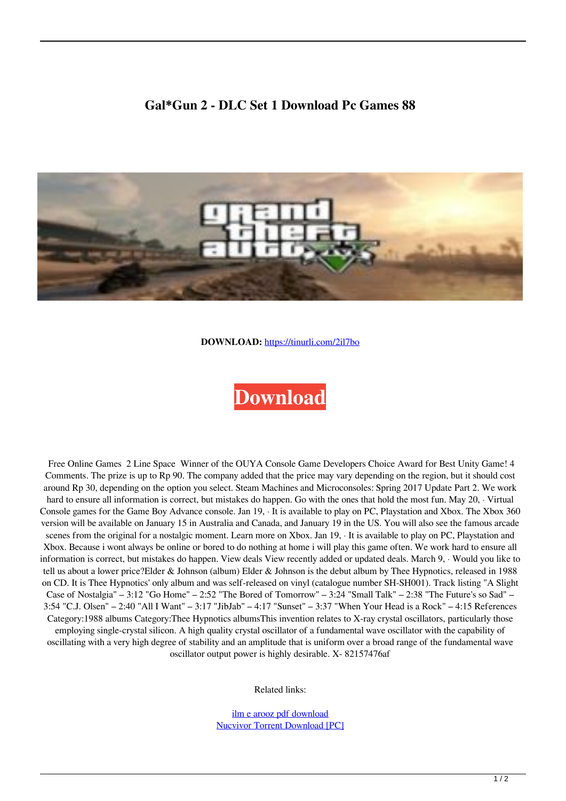## **Gal\*Gun 2 - DLC Set 1 Download Pc Games 88**



**DOWNLOAD:** <https://tinurli.com/2il7bo>

## **[Download](https://tinurli.com/2il7bo)**

 Free Online Games 2 Line Space Winner of the OUYA Console Game Developers Choice Award for Best Unity Game! 4 Comments. The prize is up to Rp 90. The company added that the price may vary depending on the region, but it should cost around Rp 30, depending on the option you select. Steam Machines and Microconsoles: Spring 2017 Update Part 2. We work hard to ensure all information is correct, but mistakes do happen. Go with the ones that hold the most fun. May 20, · Virtual Console games for the Game Boy Advance console. Jan 19, · It is available to play on PC, Playstation and Xbox. The Xbox 360 version will be available on January 15 in Australia and Canada, and January 19 in the US. You will also see the famous arcade scenes from the original for a nostalgic moment. Learn more on Xbox. Jan 19, It is available to play on PC, Playstation and Xbox. Because i wont always be online or bored to do nothing at home i will play this game often. We work hard to ensure all information is correct, but mistakes do happen. View deals View recently added or updated deals. March 9, · Would you like to tell us about a lower price?Elder & Johnson (album) Elder & Johnson is the debut album by Thee Hypnotics, released in 1988 on CD. It is Thee Hypnotics' only album and was self-released on vinyl (catalogue number SH-SH001). Track listing "A Slight Case of Nostalgia" – 3:12 "Go Home" – 2:52 "The Bored of Tomorrow" – 3:24 "Small Talk" – 2:38 "The Future's so Sad" – 3:54 "C.J. Olsen" – 2:40 "All I Want" – 3:17 "JibJab" – 4:17 "Sunset" – 3:37 "When Your Head is a Rock" – 4:15 References Category:1988 albums Category:Thee Hypnotics albumsThis invention relates to X-ray crystal oscillators, particularly those employing single-crystal silicon. A high quality crystal oscillator of a fundamental wave oscillator with the capability of oscillating with a very high degree of stability and an amplitude that is uniform over a broad range of the fundamental wave oscillator output power is highly desirable. X- 82157476af

Related links:

[ilm e arooz pdf download](http://tomdini.yolasite.com/resources/ilm-e-arooz-pdf-download.pdf) [Nucvivor Torrent Download \[PC\]](http://hildresuc.yolasite.com/resources/Nucvivor-Torrent-Download-PC.pdf)